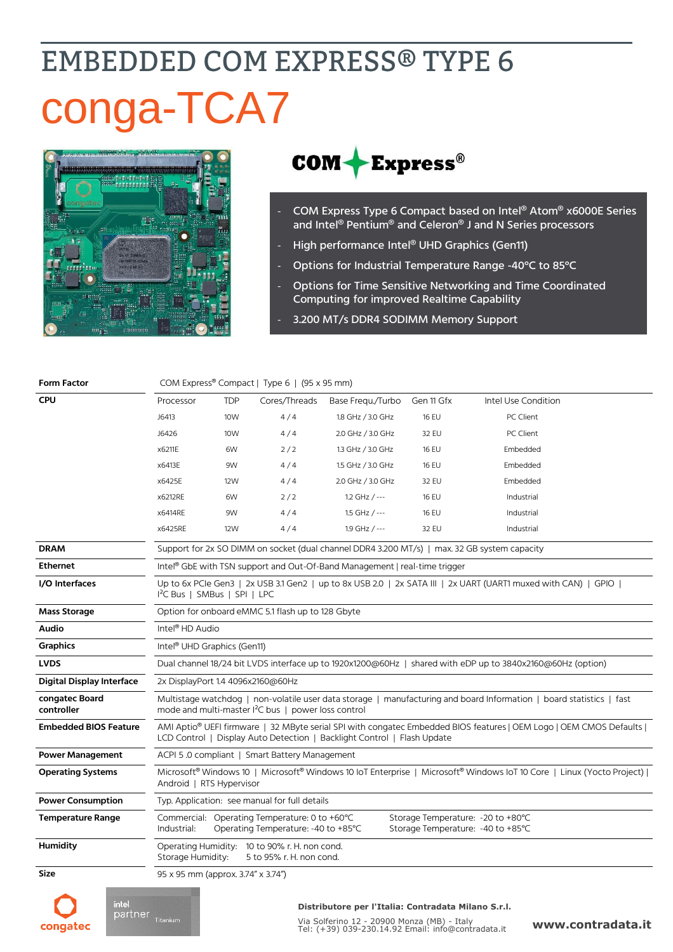# **EMBEDDED COM EXPRESS® TYPE 6** conga-TCA7



### $COM + Express<sup>®</sup>$

- COM Express Type 6 Compact based on Intel® Atom® x6000E Series and Intel® Pentium® and Celeron® J and N Series processors
- High performance Intel® UHD Graphics (Gen11)
- Options for Industrial Temperature Range -40°C to 85°C
- Options for Time Sensitive Networking and Time Coordinated Computing for improved Realtime Capability
- 3.200 MT/s DDR4 SODIMM Memory Support

| <b>Form Factor</b>               | COM Express® Compact   Type 6   (95 x 95 mm)                                                                                                                                                                |                 |                                                                                      |                   |              |                                                                          |
|----------------------------------|-------------------------------------------------------------------------------------------------------------------------------------------------------------------------------------------------------------|-----------------|--------------------------------------------------------------------------------------|-------------------|--------------|--------------------------------------------------------------------------|
| <b>CPU</b>                       | Processor                                                                                                                                                                                                   | <b>TDP</b>      | Cores/Threads                                                                        | Base Fregu./Turbo | Gen 11 Gfx   | Intel Use Condition                                                      |
|                                  | J6413                                                                                                                                                                                                       | 10W             | 4/4                                                                                  | 1.8 GHz / 3.0 GHz | <b>16 EU</b> | PC Client                                                                |
|                                  | J6426                                                                                                                                                                                                       | 10 <sub>W</sub> | 4/4                                                                                  | 2.0 GHz / 3.0 GHz | 32 EU        | PC Client                                                                |
|                                  | x6211E                                                                                                                                                                                                      | 6W              | 2/2                                                                                  | 1.3 GHz / 3.0 GHz | <b>16 EU</b> | Embedded                                                                 |
|                                  | x6413E                                                                                                                                                                                                      | 9W              | 4/4                                                                                  | 1.5 GHz / 3.0 GHz | <b>16 EU</b> | Embedded                                                                 |
|                                  | x6425E                                                                                                                                                                                                      | 12W             | 4/4                                                                                  | 2.0 GHz / 3.0 GHz | 32 EU        | Embedded                                                                 |
|                                  | x6212RE                                                                                                                                                                                                     | 6W              | 2/2                                                                                  | 1.2 GHz $/$ ---   | <b>16 EU</b> | Industrial                                                               |
|                                  | x6414RE                                                                                                                                                                                                     | 9W              | 4/4                                                                                  | 1.5 GHz / ---     | <b>16 EU</b> | Industrial                                                               |
|                                  | x6425RE                                                                                                                                                                                                     | <b>12W</b>      | 4/4                                                                                  | 1.9 GHz / ---     | 32 EU        | Industrial                                                               |
| <b>DRAM</b>                      | Support for 2x SO DIMM on socket (dual channel DDR4 3.200 MT/s)   max. 32 GB system capacity                                                                                                                |                 |                                                                                      |                   |              |                                                                          |
| <b>Ethernet</b>                  | Intel® GbE with TSN support and Out-Of-Band Management   real-time trigger                                                                                                                                  |                 |                                                                                      |                   |              |                                                                          |
| I/O Interfaces                   | Up to 6x PCle Gen3   2x USB 3.1 Gen2   up to 8x USB 2.0   2x SATA III   2x UART (UART1 muxed with CAN)   GPIO  <br>I <sup>2</sup> C Bus   SMBus   SPI   LPC                                                 |                 |                                                                                      |                   |              |                                                                          |
| <b>Mass Storage</b>              | Option for onboard eMMC 5.1 flash up to 128 Gbyte                                                                                                                                                           |                 |                                                                                      |                   |              |                                                                          |
| <b>Audio</b>                     | Intel <sup>®</sup> HD Audio                                                                                                                                                                                 |                 |                                                                                      |                   |              |                                                                          |
| <b>Graphics</b>                  | Intel <sup>®</sup> UHD Graphics (Gen11)                                                                                                                                                                     |                 |                                                                                      |                   |              |                                                                          |
| <b>LVDS</b>                      | Dual channel 18/24 bit LVDS interface up to 1920x1200@60Hz   shared with eDP up to 3840x2160@60Hz (option)                                                                                                  |                 |                                                                                      |                   |              |                                                                          |
| <b>Digital Display Interface</b> | 2x DisplayPort 1.4 4096x2160@60Hz                                                                                                                                                                           |                 |                                                                                      |                   |              |                                                                          |
| congatec Board<br>controller     | Multistage watchdog   non-volatile user data storage   manufacturing and board Information   board statistics   fast<br>mode and multi-master I <sup>2</sup> C bus   power loss control                     |                 |                                                                                      |                   |              |                                                                          |
| <b>Embedded BIOS Feature</b>     | AMI Aptio <sup>®</sup> UEFI firmware   32 MByte serial SPI with congatec Embedded BIOS features   OEM Logo   OEM CMOS Defaults  <br>LCD Control   Display Auto Detection   Backlight Control   Flash Update |                 |                                                                                      |                   |              |                                                                          |
| <b>Power Management</b>          | ACPI 5.0 compliant   Smart Battery Management                                                                                                                                                               |                 |                                                                                      |                   |              |                                                                          |
| <b>Operating Systems</b>         | Microsoft <sup>®</sup> Windows 10   Microsoft <sup>®</sup> Windows 10 IoT Enterprise   Microsoft <sup>®</sup> Windows IoT 10 Core   Linux (Yocto Project)  <br>Android   RTS Hypervisor                     |                 |                                                                                      |                   |              |                                                                          |
| <b>Power Consumption</b>         | Typ. Application: see manual for full details                                                                                                                                                               |                 |                                                                                      |                   |              |                                                                          |
| <b>Temperature Range</b>         | Industrial:                                                                                                                                                                                                 |                 | Commercial: Operating Temperature: 0 to +60°C<br>Operating Temperature: -40 to +85°C |                   |              | Storage Temperature: - 20 to +80°C<br>Storage Temperature: - 40 to +85°C |
| <b>Humidity</b>                  | Operating Humidity: 10 to 90% r. H. non cond.<br>Storage Humidity:<br>5 to 95% r. H. non cond.                                                                                                              |                 |                                                                                      |                   |              |                                                                          |
| Size                             | 95 x 95 mm (approx. 3.74" x 3.74")                                                                                                                                                                          |                 |                                                                                      |                   |              |                                                                          |

congatec

intel. inter<br>partner <sub>Titanium</sub>

#### **Distributore per l'Italia: Contradata Milano S.r.l.**

Via Solferino 12 - 20900 Monza (MB) - Italy Tel: (+39) 039-230.14.92 Email: [info@contradata.it](mailto:info@contradata.it)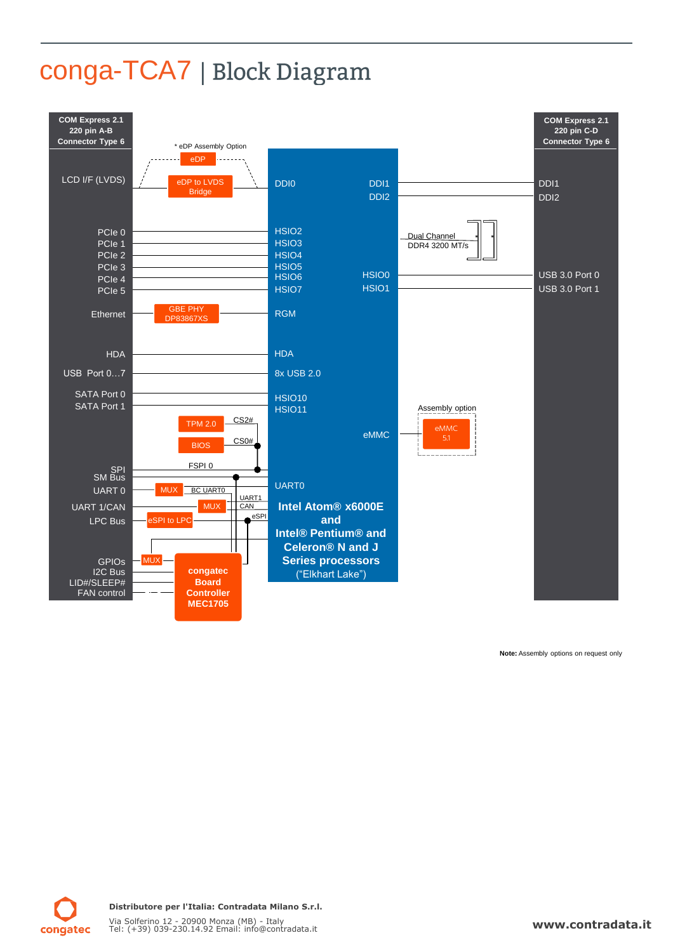# conga-TCA7 | Block Diagram



**Note:**: Assembly options on request only